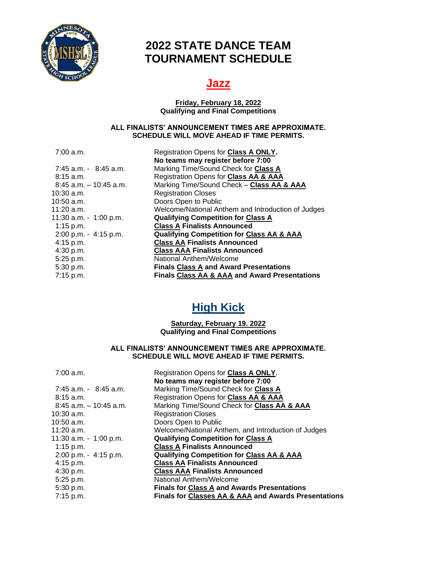

## **2022 STATE DANCE TEAM TOURNAMENT SCHEDULE**

### **Jazz**

#### **Friday, February 18, 2022 Qualifying and Final Competitions**

#### **ALL FINALISTS' ANNOUNCEMENT TIMES ARE APPROXIMATE. SCHEDULE WILL MOVE AHEAD IF TIME PERMITS.**

7:00 a.m. Registration Opens for **Class A ONLY.**

|                           | No teams may register before 7:00                        |
|---------------------------|----------------------------------------------------------|
| $7:45$ a.m. $-8:45$ a.m.  | Marking Time/Sound Check for Class A                     |
| $8:15$ a.m.               | Registration Opens for Class AA & AAA                    |
| $8:45$ a.m. $-10:45$ a.m. | Marking Time/Sound Check - Class AA & AAA                |
| 10:30 a.m.                | <b>Registration Closes</b>                               |
| 10:50 a.m.                | Doors Open to Public                                     |
| 11:20 a.m.                | Welcome/National Anthem and Introduction of Judges       |
| 11:30 a.m. - 1:00 p.m.    | <b>Qualifying Competition for Class A</b>                |
| 1:15 p.m.                 | <b>Class A Finalists Announced</b>                       |
| $2:00$ p.m. - 4:15 p.m.   | <b>Qualifying Competition for Class AA &amp; AAA</b>     |
| $4:15$ p.m.               | <b>Class AA Finalists Announced</b>                      |
| 4:30 p.m.                 | <b>Class AAA Finalists Announced</b>                     |
| 5:25 p.m.                 | National Anthem/Welcome                                  |
| 5:30 p.m.                 | <b>Finals Class A and Award Presentations</b>            |
| 7:15 p.m.                 | <b>Finals Class AA &amp; AAA and Award Presentations</b> |
|                           |                                                          |

# **High Kick**

### **Saturday, February 19. 2022 Qualifying and Final Competitions**

### **ALL FINALISTS' ANNOUNCEMENT TIMES ARE APPROXIMATE. SCHEDULE WILL MOVE AHEAD IF TIME PERMITS.**

| $7:00$ a.m.               | Registration Opens for Class A ONLY.                            |
|---------------------------|-----------------------------------------------------------------|
|                           | No teams may register before 7:00                               |
| $7:45$ a.m. $-8:45$ a.m.  | Marking Time/Sound Check for Class A                            |
| $8:15$ a.m.               | Registration Opens for Class AA & AAA                           |
| $8:45$ a.m. $-10:45$ a.m. | Marking Time/Sound Check for Class AA & AAA                     |
| 10:30 a.m.                | <b>Registration Closes</b>                                      |
| 10:50 a.m.                | Doors Open to Public                                            |
| 11:20 a.m.                | Welcome/National Anthem, and Introduction of Judges             |
| 11:30 a.m. - 1:00 p.m.    | <b>Qualifying Competition for Class A</b>                       |
| 1:15 p.m.                 | <b>Class A Finalists Announced</b>                              |
| 2:00 p.m. - 4:15 p.m.     | <b>Qualifying Competition for Class AA &amp; AAA</b>            |
| $4:15$ p.m.               | <b>Class AA Finalists Announced</b>                             |
| 4:30 p.m.                 | <b>Class AAA Finalists Announced</b>                            |
| 5:25 p.m.                 | National Anthem/Welcome                                         |
| 5:30 p.m.                 | <b>Finals for Class A and Awards Presentations</b>              |
| $7:15$ p.m.               | <b>Finals for Classes AA &amp; AAA and Awards Presentations</b> |